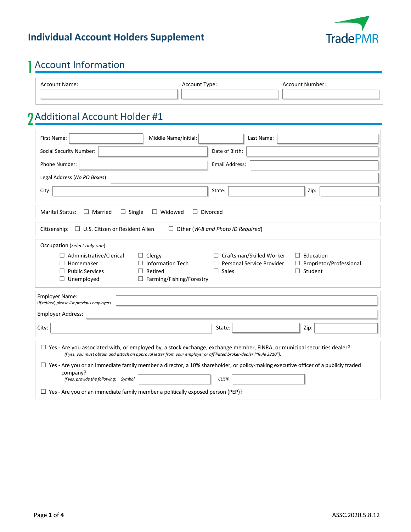#### **Individual Account Holders Supplement**



# 1Account Information

| Account Name: | Account Type: | Account Number: |
|---------------|---------------|-----------------|
|               |               |                 |

## 2 Additional Account Holder #1

| Middle Name/Initial:<br>First Name:                                                                                                                                                                                                                    | Last Name:                                                                                           |  |  |  |
|--------------------------------------------------------------------------------------------------------------------------------------------------------------------------------------------------------------------------------------------------------|------------------------------------------------------------------------------------------------------|--|--|--|
| <b>Social Security Number:</b>                                                                                                                                                                                                                         | Date of Birth:                                                                                       |  |  |  |
| Phone Number:                                                                                                                                                                                                                                          | <b>Email Address:</b>                                                                                |  |  |  |
| Legal Address (No PO Boxes):                                                                                                                                                                                                                           |                                                                                                      |  |  |  |
| City:                                                                                                                                                                                                                                                  | State:<br>Zip:                                                                                       |  |  |  |
| $\Box$ Single<br>$\Box$ Divorced<br><b>Marital Status:</b><br>$\Box$ Married<br>$\Box$ Widowed                                                                                                                                                         |                                                                                                      |  |  |  |
| Citizenship: □ U.S. Citizen or Resident Alien<br>$\Box$ Other (W-8 and Photo ID Required)                                                                                                                                                              |                                                                                                      |  |  |  |
| Occupation (Select only one):                                                                                                                                                                                                                          |                                                                                                      |  |  |  |
| $\Box$ Administrative/Clerical<br>$\Box$ Clergy                                                                                                                                                                                                        | $\Box$ Craftsman/Skilled Worker<br>$\Box$ Education                                                  |  |  |  |
| Homemaker<br>$\Box$ Information Tech<br><b>Public Services</b><br>Retired                                                                                                                                                                              | $\Box$ Personal Service Provider<br>$\Box$ Proprietor/Professional<br>$\Box$ Sales<br>$\Box$ Student |  |  |  |
| $\Box$ Farming/Fishing/Forestry<br>$\Box$ Unemployed                                                                                                                                                                                                   |                                                                                                      |  |  |  |
| <b>Employer Name:</b><br>(If retired, please list previous employer)                                                                                                                                                                                   |                                                                                                      |  |  |  |
| <b>Employer Address:</b>                                                                                                                                                                                                                               |                                                                                                      |  |  |  |
| City:                                                                                                                                                                                                                                                  | Zip:<br>State:                                                                                       |  |  |  |
| $\Box$ Yes - Are you associated with, or employed by, a stock exchange, exchange member, FINRA, or municipal securities dealer?<br>If yes, you must obtain and attach an approval letter from your employer or affiliated broker-dealer ("Rule 3210"). |                                                                                                      |  |  |  |
| $\Box$ Yes - Are you or an immediate family member a director, a 10% shareholder, or policy-making executive officer of a publicly traded                                                                                                              |                                                                                                      |  |  |  |
| company?<br>If yes, provide the following: Symbol<br><b>CUSIP</b>                                                                                                                                                                                      |                                                                                                      |  |  |  |
| $\Box$ Yes - Are you or an immediate family member a politically exposed person (PEP)?                                                                                                                                                                 |                                                                                                      |  |  |  |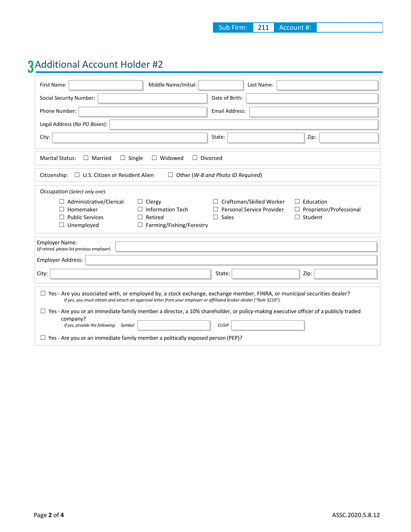## 3Additional Account Holder #2

| First Name:                                                                                                                                                                                                                                            | Middle Name/Initial:                                                              | Last Name:                      |                           |  |  |
|--------------------------------------------------------------------------------------------------------------------------------------------------------------------------------------------------------------------------------------------------------|-----------------------------------------------------------------------------------|---------------------------------|---------------------------|--|--|
| Social Security Number:                                                                                                                                                                                                                                |                                                                                   | Date of Birth:                  |                           |  |  |
| Phone Number:                                                                                                                                                                                                                                          |                                                                                   | <b>Email Address:</b>           |                           |  |  |
| Legal Address (No PO Boxes):                                                                                                                                                                                                                           |                                                                                   |                                 |                           |  |  |
| City:                                                                                                                                                                                                                                                  |                                                                                   | State:                          | Zip:                      |  |  |
| <b>Marital Status:</b><br>$\Box$ Married                                                                                                                                                                                                               | $\Box$ Single<br>$\Box$ Widowed<br>$\Box$ Divorced                                |                                 |                           |  |  |
| Citizenship:                                                                                                                                                                                                                                           | $\Box$ Other (W-8 and Photo ID Required)<br>$\Box$ U.S. Citizen or Resident Alien |                                 |                           |  |  |
| Occupation (Select only one):                                                                                                                                                                                                                          |                                                                                   |                                 |                           |  |  |
| $\Box$ Administrative/Clerical                                                                                                                                                                                                                         | $\Box$ Clergy                                                                     | $\Box$ Craftsman/Skilled Worker | $\Box$ Education          |  |  |
| Homemaker<br>$\perp$                                                                                                                                                                                                                                   | <b>Information Tech</b>                                                           | Personal Service Provider       | □ Proprietor/Professional |  |  |
| <b>Public Services</b><br>П                                                                                                                                                                                                                            | Retired<br>$\Box$                                                                 | Sales<br>$\Box$                 | $\Box$ Student            |  |  |
| $\Box$ Unemployed                                                                                                                                                                                                                                      | □ Farming/Fishing/Forestry                                                        |                                 |                           |  |  |
| <b>Employer Name:</b><br>(If retired, please list previous employer)                                                                                                                                                                                   |                                                                                   |                                 |                           |  |  |
| Employer Address:                                                                                                                                                                                                                                      |                                                                                   |                                 |                           |  |  |
| City:                                                                                                                                                                                                                                                  |                                                                                   | State:                          | Zip:                      |  |  |
| $\Box$ Yes - Are you associated with, or employed by, a stock exchange, exchange member, FINRA, or municipal securities dealer?<br>If yes, you must obtain and attach an approval letter from your employer or affiliated broker-dealer ("Rule 3210"). |                                                                                   |                                 |                           |  |  |
| $\Box$ Yes - Are you or an immediate family member a director, a 10% shareholder, or policy-making executive officer of a publicly traded<br>company?                                                                                                  |                                                                                   |                                 |                           |  |  |
| If yes, provide the following: Symbol                                                                                                                                                                                                                  |                                                                                   | <b>CUSIP</b>                    |                           |  |  |
| $\Box$ Yes - Are you or an immediate family member a politically exposed person (PEP)?                                                                                                                                                                 |                                                                                   |                                 |                           |  |  |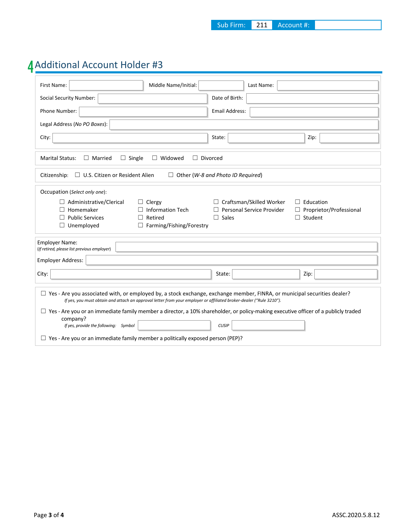### 4Additional Account Holder #3

| First Name:                                                                                                                                           | Middle Name/Initial:                                                                                                | Last Name:                      |                           |  |  |
|-------------------------------------------------------------------------------------------------------------------------------------------------------|---------------------------------------------------------------------------------------------------------------------|---------------------------------|---------------------------|--|--|
| <b>Social Security Number:</b>                                                                                                                        |                                                                                                                     | Date of Birth:                  |                           |  |  |
| Phone Number:                                                                                                                                         |                                                                                                                     | <b>Email Address:</b>           |                           |  |  |
| Legal Address (No PO Boxes):                                                                                                                          |                                                                                                                     |                                 |                           |  |  |
| City:                                                                                                                                                 |                                                                                                                     | State:                          | Zip:                      |  |  |
| <b>Marital Status:</b><br>$\Box$ Married                                                                                                              | $\Box$ Single<br>$\Box$ Widowed<br>$\Box$ Divorced                                                                  |                                 |                           |  |  |
| $\Box$ U.S. Citizen or Resident Alien<br>Other (W-8 and Photo ID Required)<br>Citizenship:<br>$\Box$                                                  |                                                                                                                     |                                 |                           |  |  |
| Occupation (Select only one):                                                                                                                         |                                                                                                                     |                                 |                           |  |  |
| $\Box$ Administrative/Clerical                                                                                                                        | $\Box$ Clergy                                                                                                       | $\Box$ Craftsman/Skilled Worker | $\Box$ Education          |  |  |
| Homemaker                                                                                                                                             | <b>Information Tech</b>                                                                                             | Personal Service Provider       | □ Proprietor/Professional |  |  |
| <b>Public Services</b>                                                                                                                                | Retired<br>ш                                                                                                        | Sales<br>$\Box$                 | $\Box$ Student            |  |  |
| $\Box$ Unemployed                                                                                                                                     | $\Box$ Farming/Fishing/Forestry                                                                                     |                                 |                           |  |  |
| <b>Employer Name:</b><br>(If retired, please list previous employer)                                                                                  |                                                                                                                     |                                 |                           |  |  |
| Employer Address:                                                                                                                                     |                                                                                                                     |                                 |                           |  |  |
| City:                                                                                                                                                 |                                                                                                                     | State:                          | Zip:                      |  |  |
| $\Box$ Yes - Are you associated with, or employed by, a stock exchange, exchange member, FINRA, or municipal securities dealer?                       | If yes, you must obtain and attach an approval letter from your employer or affiliated broker-dealer ("Rule 3210"). |                                 |                           |  |  |
| $\Box$ Yes - Are you or an immediate family member a director, a 10% shareholder, or policy-making executive officer of a publicly traded<br>company? |                                                                                                                     |                                 |                           |  |  |
| If yes, provide the following: Symbol                                                                                                                 |                                                                                                                     | <b>CUSIP</b>                    |                           |  |  |
| $\Box$ Yes - Are you or an immediate family member a politically exposed person (PEP)?                                                                |                                                                                                                     |                                 |                           |  |  |